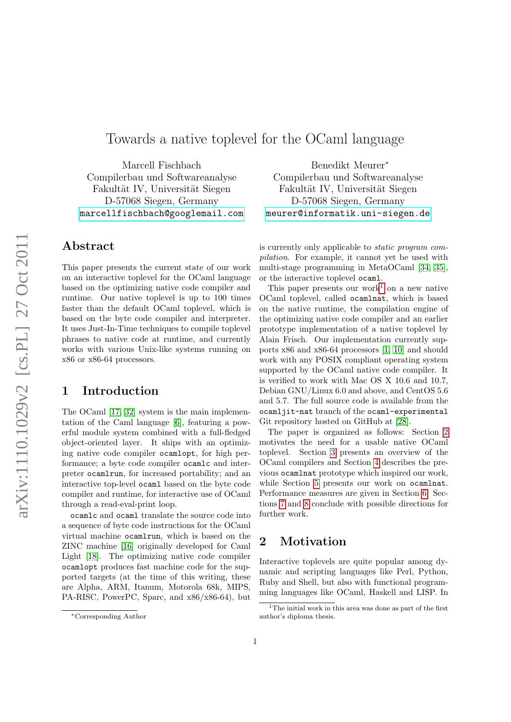# Towards a native toplevel for the OCaml language

Marcell Fischbach Compilerbau und Softwareanalyse Fakultät IV, Universität Siegen D-57068 Siegen, Germany <marcellfischbach@googlemail.com>

### Abstract

This paper presents the current state of our work on an interactive toplevel for the OCaml language based on the optimizing native code compiler and runtime. Our native toplevel is up to 100 times faster than the default OCaml toplevel, which is based on the byte code compiler and interpreter. It uses Just-In-Time techniques to compile toplevel phrases to native code at runtime, and currently works with various Unix-like systems running on x86 or x86-64 processors.

### 1 Introduction

The OCaml [\[17,](#page-8-0) [32\]](#page-8-1) system is the main implementation of the Caml language [\[6\]](#page-7-0), featuring a powerful module system combined with a full-fledged object-oriented layer. It ships with an optimizing native code compiler ocamlopt, for high performance; a byte code compiler ocamlc and interpreter ocamlrun, for increased portability; and an interactive top-level ocaml based on the byte code compiler and runtime, for interactive use of OCaml through a read-eval-print loop.

ocamlc and ocaml translate the source code into a sequence of byte code instructions for the OCaml virtual machine ocamlrun, which is based on the ZINC machine [\[16\]](#page-8-2) originally developed for Caml Light [\[18\]](#page-8-3). The optimizing native code compiler ocamlopt produces fast machine code for the supported targets (at the time of this writing, these are Alpha, ARM, Itanum, Motorola 68k, MIPS, PA-RISC, PowerPC, Sparc, and x86/x86-64), but

Benedikt Meurer<sup>∗</sup> Compilerbau und Softwareanalyse Fakultät IV, Universität Siegen D-57068 Siegen, Germany <meurer@informatik.uni-siegen.de>

is currently only applicable to static program compilation. For example, it cannot yet be used with multi-stage programming in MetaOCaml [\[34,](#page-9-0) [35\]](#page-9-1), or the interactive toplevel ocaml.

This paper presents our work<sup>[1](#page-0-0)</sup> on a new native OCaml toplevel, called ocamlnat, which is based on the native runtime, the compilation engine of the optimizing native code compiler and an earlier prototype implementation of a native toplevel by Alain Frisch. Our implementation currently supports x86 and x86-64 processors [\[1,](#page-7-1) [10\]](#page-7-2) and should work with any POSIX compliant operating system supported by the OCaml native code compiler. It is verified to work with Mac OS X 10.6 and 10.7, Debian GNU/Linux 6.0 and above, and CentOS 5.6 and 5.7. The full source code is available from the ocamljit-nat branch of the ocaml-experimental Git repository hosted on GitHub at [\[28\]](#page-8-4).

The paper is organized as follows: Section [2](#page-0-1) motivates the need for a usable native OCaml toplevel. Section [3](#page-1-0) presents an overview of the OCaml compilers and Section [4](#page-3-0) describes the previous ocamlnat prototype which inspired our work, while Section [5](#page-4-0) presents our work on ocamlnat. Performance measures are given in Section [6.](#page-5-0) Sections [7](#page-6-0) and [8](#page-7-3) conclude with possible directions for further work.

### <span id="page-0-1"></span>2 Motivation

Interactive toplevels are quite popular among dynamic and scripting languages like Perl, Python, Ruby and Shell, but also with functional programming languages like OCaml, Haskell and LISP. In

<sup>∗</sup>Corresponding Author

<span id="page-0-0"></span> $1$ <sup>1</sup>The initial work in this area was done as part of the first author's diploma thesis.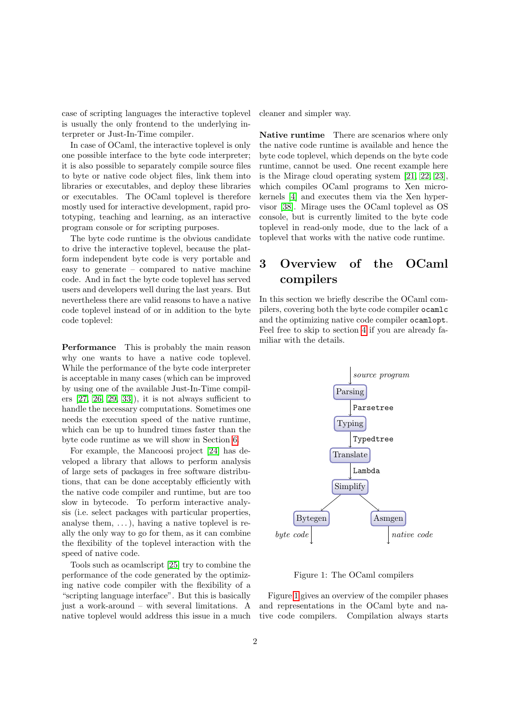case of scripting languages the interactive toplevel is usually the only frontend to the underlying interpreter or Just-In-Time compiler.

In case of OCaml, the interactive toplevel is only one possible interface to the byte code interpreter; it is also possible to separately compile source files to byte or native code object files, link them into libraries or executables, and deploy these libraries or executables. The OCaml toplevel is therefore mostly used for interactive development, rapid prototyping, teaching and learning, as an interactive program console or for scripting purposes.

The byte code runtime is the obvious candidate to drive the interactive toplevel, because the platform independent byte code is very portable and easy to generate – compared to native machine code. And in fact the byte code toplevel has served users and developers well during the last years. But nevertheless there are valid reasons to have a native code toplevel instead of or in addition to the byte code toplevel:

Performance This is probably the main reason why one wants to have a native code toplevel. While the performance of the byte code interpreter is acceptable in many cases (which can be improved by using one of the available Just-In-Time compilers  $[27, 26, 29, 33]$  $[27, 26, 29, 33]$  $[27, 26, 29, 33]$  $[27, 26, 29, 33]$ , it is not always sufficient to handle the necessary computations. Sometimes one needs the execution speed of the native runtime, which can be up to hundred times faster than the byte code runtime as we will show in Section [6.](#page-5-0)

For example, the Mancoosi project [\[24\]](#page-8-8) has developed a library that allows to perform analysis of large sets of packages in free software distributions, that can be done acceptably efficiently with the native code compiler and runtime, but are too slow in bytecode. To perform interactive analysis (i.e. select packages with particular properties, analyse them,  $\dots$ , having a native toplevel is really the only way to go for them, as it can combine the flexibility of the toplevel interaction with the speed of native code.

Tools such as ocamlscript [\[25\]](#page-8-9) try to combine the performance of the code generated by the optimizing native code compiler with the flexibility of a "scripting language interface". But this is basically just a work-around – with several limitations. A native toplevel would address this issue in a much cleaner and simpler way.

Native runtime There are scenarios where only the native code runtime is available and hence the byte code toplevel, which depends on the byte code runtime, cannot be used. One recent example here is the Mirage cloud operating system [\[21,](#page-8-10) [22,](#page-8-11) [23\]](#page-8-12), which compiles OCaml programs to Xen microkernels [\[4\]](#page-7-4) and executes them via the Xen hypervisor [\[38\]](#page-9-3). Mirage uses the OCaml toplevel as OS console, but is currently limited to the byte code toplevel in read-only mode, due to the lack of a toplevel that works with the native code runtime.

# <span id="page-1-0"></span>3 Overview of the OCaml compilers

In this section we briefly describe the OCaml compilers, covering both the byte code compiler ocamlc and the optimizing native code compiler ocamlopt. Feel free to skip to section [4](#page-3-0) if you are already familiar with the details.



<span id="page-1-1"></span>Figure 1: The OCaml compilers

Figure [1](#page-1-1) gives an overview of the compiler phases and representations in the OCaml byte and native code compilers. Compilation always starts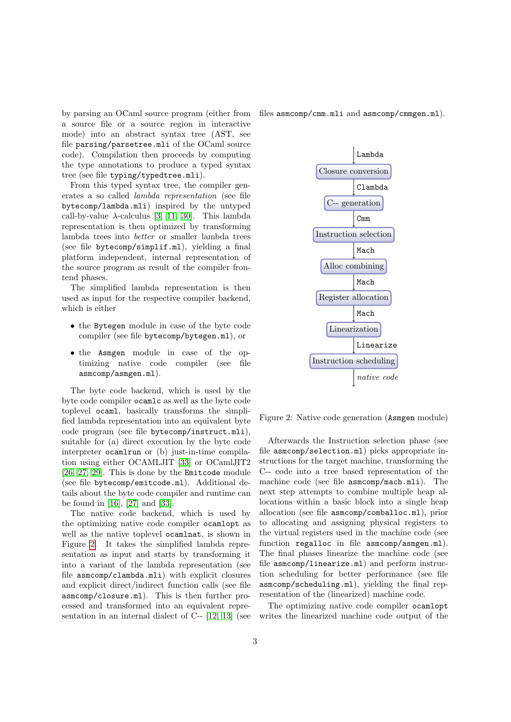by parsing an OCaml source program (either from a source file or a source region in interactive mode) into an abstract syntax tree (AST, see file parsing/parsetree.mli of the OCaml source code). Compilation then proceeds by computing the type annotations to produce a typed syntax tree (see file typing/typedtree.mli).

From this typed syntax tree, the compiler generates a so called lambda representation (see file bytecomp/lambda.mli) inspired by the untyped call-by-value  $\lambda$ -calculus [\[3,](#page-7-5) [11,](#page-8-13) [30\]](#page-8-14). This lambda representation is then optimized by transforming lambda trees into better or smaller lambda trees (see file bytecomp/simplif.ml), yielding a final platform independent, internal representation of the source program as result of the compiler frontend phases.

The simplified lambda representation is then used as input for the respective compiler backend, which is either

- the Bytegen module in case of the byte code compiler (see file bytecomp/bytegen.ml), or
- the Asmgen module in case of the optimizing native code compiler (see file asmcomp/asmgen.ml).

The byte code backend, which is used by the byte code compiler ocamlc as well as the byte code toplevel ocaml, basically transforms the simplified lambda representation into an equivalent byte code program (see file bytecomp/instruct.mli), suitable for (a) direct execution by the byte code interpreter ocamlrun or (b) just-in-time compilation using either OCAMLJIT [\[33\]](#page-9-2) or OCamlJIT2 [\[26,](#page-8-6) [27,](#page-8-5) [29\]](#page-8-7). This is done by the Emitcode module (see file bytecomp/emitcode.ml). Additional details about the byte code compiler and runtime can be found in [\[16\]](#page-8-2), [\[27\]](#page-8-5) and [\[33\]](#page-9-2).

The native code backend, which is used by the optimizing native code compiler ocamlopt as well as the native toplevel ocamlnat, is shown in Figure [2.](#page-2-0) It takes the simplified lambda representation as input and starts by transforming it into a variant of the lambda representation (see file asmcomp/clambda.mli) with explicit closures and explicit direct/indirect function calls (see file asmcomp/closure.ml). This is then further processed and transformed into an equivalent representation in an internal dialect of C-- [\[12,](#page-8-15) [13\]](#page-8-16) (see files asmcomp/cmm.mli and asmcomp/cmmgen.ml).



<span id="page-2-0"></span>Figure 2: Native code generation (Asmgen module)

Afterwards the Instruction selection phase (see file asmcomp/selection.ml) picks appropriate instructions for the target machine, transforming the C-- code into a tree based representation of the machine code (see file asmcomp/mach.mli). The next step attempts to combine multiple heap allocations within a basic block into a single heap allocation (see file asmcomp/comballoc.ml), prior to allocating and assigning physical registers to the virtual registers used in the machine code (see function regalloc in file asmcomp/asmgen.ml). The final phases linearize the machine code (see file asmcomp/linearize.ml) and perform instruction scheduling for better performance (see file asmcomp/scheduling.ml), yielding the final representation of the (linearized) machine code.

The optimizing native code compiler ocamlopt writes the linearized machine code output of the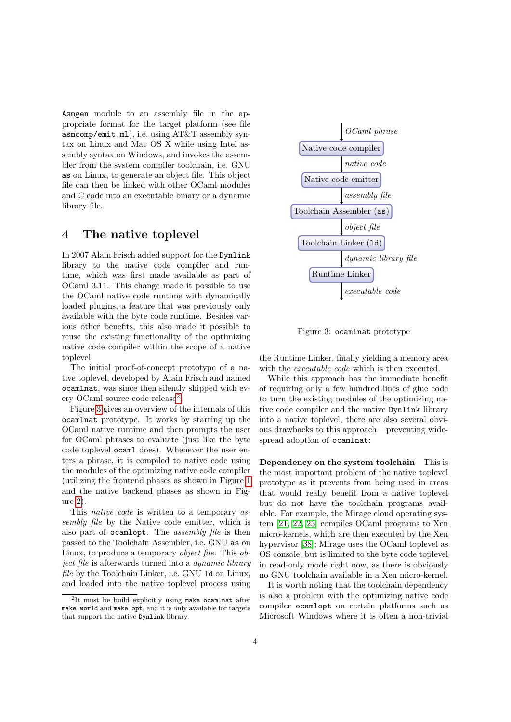Asmgen module to an assembly file in the appropriate format for the target platform (see file asmcomp/emit.ml), i.e. using AT&T assembly syntax on Linux and Mac OS X while using Intel assembly syntax on Windows, and invokes the assembler from the system compiler toolchain, i.e. GNU as on Linux, to generate an object file. This object file can then be linked with other OCaml modules and C code into an executable binary or a dynamic library file.

#### <span id="page-3-0"></span>4 The native toplevel

In 2007 Alain Frisch added support for the Dynlink library to the native code compiler and runtime, which was first made available as part of OCaml 3.11. This change made it possible to use the OCaml native code runtime with dynamically loaded plugins, a feature that was previously only available with the byte code runtime. Besides various other benefits, this also made it possible to reuse the existing functionality of the optimizing native code compiler within the scope of a native toplevel.

The initial proof-of-concept prototype of a native toplevel, developed by Alain Frisch and named ocamlnat, was since then silently shipped with ev-ery OCaml source code release<sup>[2](#page-3-1)</sup>.

Figure [3](#page-3-2) gives an overview of the internals of this ocamlnat prototype. It works by starting up the OCaml native runtime and then prompts the user for OCaml phrases to evaluate (just like the byte code toplevel ocaml does). Whenever the user enters a phrase, it is compiled to native code using the modules of the optimizing native code compiler (utilizing the frontend phases as shown in Figure [1](#page-1-1) and the native backend phases as shown in Figure [2\)](#page-2-0).

This native code is written to a temporary assembly file by the Native code emitter, which is also part of ocamlopt. The assembly file is then passed to the Toolchain Assembler, i.e. GNU as on Linux, to produce a temporary object file. This object file is afterwards turned into a dynamic library file by the Toolchain Linker, i.e. GNU ld on Linux, and loaded into the native toplevel process using



<span id="page-3-2"></span>Figure 3: ocamlnat prototype

the Runtime Linker, finally yielding a memory area with the *executable code* which is then executed.

While this approach has the immediate benefit of requiring only a few hundred lines of glue code to turn the existing modules of the optimizing native code compiler and the native Dynlink library into a native toplevel, there are also several obvious drawbacks to this approach – preventing widespread adoption of ocamlnat:

Dependency on the system toolchain This is the most important problem of the native toplevel prototype as it prevents from being used in areas that would really benefit from a native toplevel but do not have the toolchain programs available. For example, the Mirage cloud operating system [\[21,](#page-8-10) [22,](#page-8-11) [23\]](#page-8-12) compiles OCaml programs to Xen micro-kernels, which are then executed by the Xen hypervisor [\[38\]](#page-9-3); Mirage uses the OCaml toplevel as OS console, but is limited to the byte code toplevel in read-only mode right now, as there is obviously no GNU toolchain available in a Xen micro-kernel.

It is worth noting that the toolchain dependency is also a problem with the optimizing native code compiler ocamlopt on certain platforms such as Microsoft Windows where it is often a non-trivial

<span id="page-3-1"></span><sup>2</sup> It must be build explicitly using make ocamlnat after make world and make opt, and it is only available for targets that support the native Dynlink library.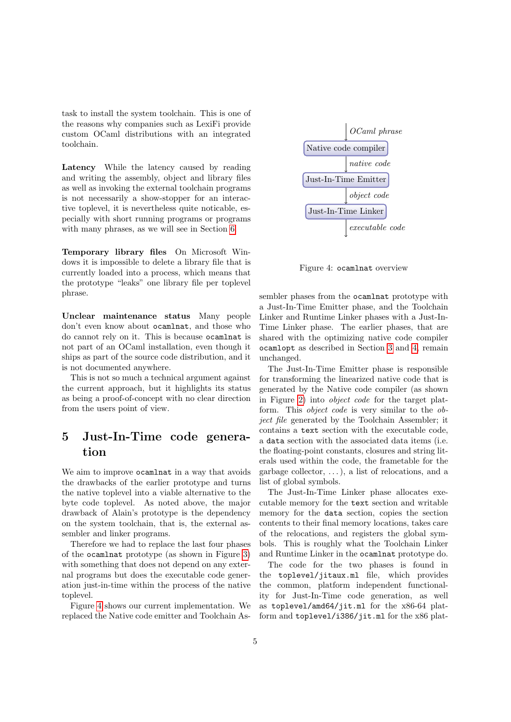task to install the system toolchain. This is one of the reasons why companies such as LexiFi provide custom OCaml distributions with an integrated toolchain.

Latency While the latency caused by reading and writing the assembly, object and library files as well as invoking the external toolchain programs is not necessarily a show-stopper for an interactive toplevel, it is nevertheless quite noticable, especially with short running programs or programs with many phrases, as we will see in Section [6.](#page-5-0)

Temporary library files On Microsoft Windows it is impossible to delete a library file that is currently loaded into a process, which means that the prototype "leaks" one library file per toplevel phrase.

Unclear maintenance status Many people don't even know about ocamlnat, and those who do cannot rely on it. This is because ocamlnat is not part of an OCaml installation, even though it ships as part of the source code distribution, and it is not documented anywhere.

This is not so much a technical argument against the current approach, but it highlights its status as being a proof-of-concept with no clear direction from the users point of view.

# <span id="page-4-0"></span>5 Just-In-Time code generation

We aim to improve ocamlnat in a way that avoids the drawbacks of the earlier prototype and turns the native toplevel into a viable alternative to the byte code toplevel. As noted above, the major drawback of Alain's prototype is the dependency on the system toolchain, that is, the external assembler and linker programs.

Therefore we had to replace the last four phases of the ocamlnat prototype (as shown in Figure [3\)](#page-3-2) with something that does not depend on any external programs but does the executable code generation just-in-time within the process of the native toplevel.

Figure [4](#page-4-1) shows our current implementation. We replaced the Native code emitter and Toolchain As-



<span id="page-4-1"></span>Figure 4: ocamlnat overview

sembler phases from the ocamlnat prototype with a Just-In-Time Emitter phase, and the Toolchain Linker and Runtime Linker phases with a Just-In-Time Linker phase. The earlier phases, that are shared with the optimizing native code compiler ocamlopt as described in Section [3](#page-1-0) and [4,](#page-3-0) remain unchanged.

The Just-In-Time Emitter phase is responsible for transforming the linearized native code that is generated by the Native code compiler (as shown in Figure [2\)](#page-2-0) into object code for the target platform. This object code is very similar to the object file generated by the Toolchain Assembler; it contains a text section with the executable code, a data section with the associated data items (i.e. the floating-point constants, closures and string literals used within the code, the frametable for the garbage collector,  $\dots$ ), a list of relocations, and a list of global symbols.

The Just-In-Time Linker phase allocates executable memory for the text section and writable memory for the data section, copies the section contents to their final memory locations, takes care of the relocations, and registers the global symbols. This is roughly what the Toolchain Linker and Runtime Linker in the ocamlnat prototype do.

The code for the two phases is found in the toplevel/jitaux.ml file, which provides the common, platform independent functionality for Just-In-Time code generation, as well as toplevel/amd64/jit.ml for the x86-64 platform and toplevel/i386/jit.ml for the x86 plat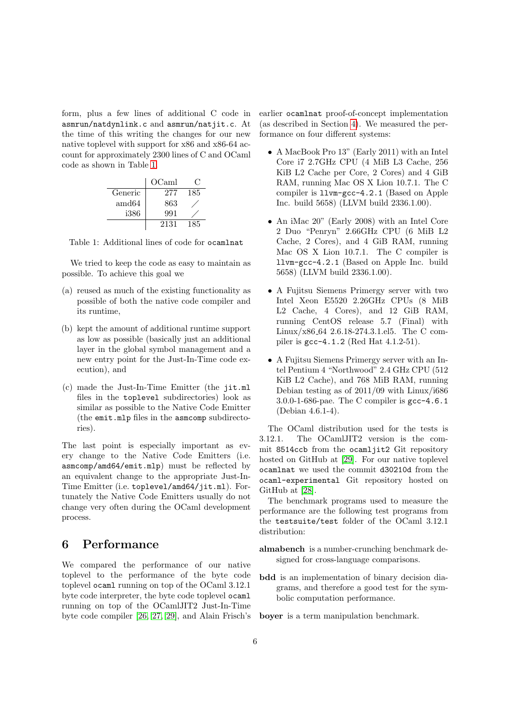form, plus a few lines of additional C code in asmrun/natdynlink.c and asmrun/natjit.c. At the time of this writing the changes for our new native toplevel with support for x86 and x86-64 account for approximately 2300 lines of C and OCaml code as shown in Table [1.](#page-5-1)

|                | OCaml | L.  |
|----------------|-------|-----|
| Generic        | 277   | 185 |
| $\text{amd}64$ | 863   |     |
| i386           | 991   |     |
|                | 2131  | 185 |

<span id="page-5-1"></span>Table 1: Additional lines of code for ocamlnat

We tried to keep the code as easy to maintain as possible. To achieve this goal we

- (a) reused as much of the existing functionality as possible of both the native code compiler and its runtime,
- (b) kept the amount of additional runtime support as low as possible (basically just an additional layer in the global symbol management and a new entry point for the Just-In-Time code execution), and
- (c) made the Just-In-Time Emitter (the jit.ml files in the toplevel subdirectories) look as similar as possible to the Native Code Emitter (the emit.mlp files in the asmcomp subdirectories).

The last point is especially important as every change to the Native Code Emitters (i.e. asmcomp/amd64/emit.mlp) must be reflected by an equivalent change to the appropriate Just-In-Time Emitter (i.e. toplevel/amd64/jit.ml). Fortunately the Native Code Emitters usually do not change very often during the OCaml development process.

### <span id="page-5-0"></span>6 Performance

We compared the performance of our native toplevel to the performance of the byte code toplevel ocaml running on top of the OCaml 3.12.1 byte code interpreter, the byte code toplevel ocaml running on top of the OCamlJIT2 Just-In-Time byte code compiler [\[26,](#page-8-6) [27,](#page-8-5) [29\]](#page-8-7), and Alain Frisch's earlier ocamlnat proof-of-concept implementation (as described in Section [4\)](#page-3-0). We measured the performance on four different systems:

- A MacBook Pro 13" (Early 2011) with an Intel Core i7 2.7GHz CPU (4 MiB L3 Cache, 256 KiB L2 Cache per Core, 2 Cores) and 4 GiB RAM, running Mac OS X Lion 10.7.1. The C compiler is llvm-gcc-4.2.1 (Based on Apple Inc. build 5658) (LLVM build 2336.1.00).
- An iMac 20" (Early 2008) with an Intel Core 2 Duo "Penryn" 2.66GHz CPU (6 MiB L2 Cache, 2 Cores), and 4 GiB RAM, running Mac OS X Lion 10.7.1. The C compiler is llvm-gcc-4.2.1 (Based on Apple Inc. build 5658) (LLVM build 2336.1.00).
- A Fujitsu Siemens Primergy server with two Intel Xeon E5520 2.26GHz CPUs (8 MiB L2 Cache, 4 Cores), and 12 GiB RAM, running CentOS release 5.7 (Final) with Linux/x86 64 2.6.18-274.3.1.el5. The C compiler is gcc-4.1.2 (Red Hat 4.1.2-51).
- A Fujitsu Siemens Primergy server with an Intel Pentium 4 "Northwood" 2.4 GHz CPU (512 KiB L2 Cache), and 768 MiB RAM, running Debian testing as of 2011/09 with Linux/i686 3.0.0-1-686-pae. The C compiler is gcc-4.6.1 (Debian 4.6.1-4).

The OCaml distribution used for the tests is 3.12.1. The OCamlJIT2 version is the commit 8514ccb from the ocamljit2 Git repository hosted on GitHub at [\[29\]](#page-8-7). For our native toplevel ocamlnat we used the commit d30210d from the ocaml-experimental Git repository hosted on GitHub at [\[28\]](#page-8-4).

The benchmark programs used to measure the performance are the following test programs from the testsuite/test folder of the OCaml 3.12.1 distribution:

- almabench is a number-crunching benchmark designed for cross-language comparisons.
- bdd is an implementation of binary decision diagrams, and therefore a good test for the symbolic computation performance.

boyer is a term manipulation benchmark.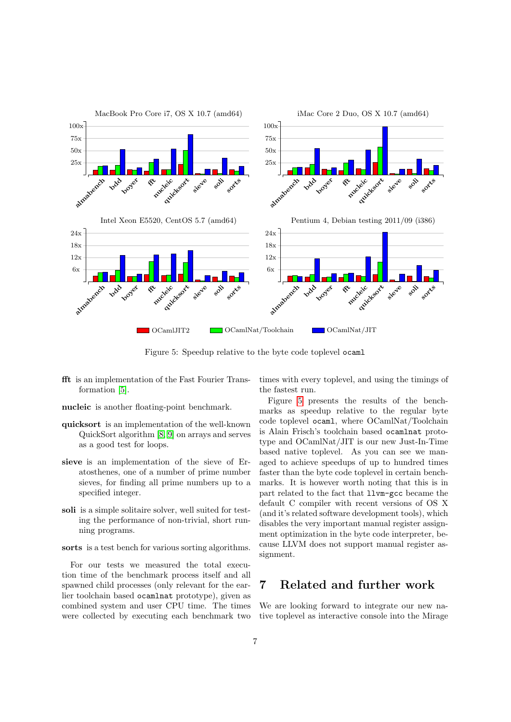

<span id="page-6-1"></span>Figure 5: Speedup relative to the byte code toplevel ocaml

- fft is an implementation of the Fast Fourier Transformation [\[5\]](#page-7-6).
- nucleic is another floating-point benchmark.
- quicksort is an implementation of the well-known QuickSort algorithm [\[8,](#page-7-7) [9\]](#page-7-8) on arrays and serves as a good test for loops.
- sieve is an implementation of the sieve of Eratosthenes, one of a number of prime number sieves, for finding all prime numbers up to a specified integer.
- soli is a simple solitaire solver, well suited for testing the performance of non-trivial, short running programs.

sorts is a test bench for various sorting algorithms.

For our tests we measured the total execution time of the benchmark process itself and all spawned child processes (only relevant for the earlier toolchain based ocamlnat prototype), given as combined system and user CPU time. The times were collected by executing each benchmark two times with every toplevel, and using the timings of the fastest run.

Figure [5](#page-6-1) presents the results of the benchmarks as speedup relative to the regular byte code toplevel ocaml, where OCamlNat/Toolchain is Alain Frisch's toolchain based ocamlnat prototype and OCamlNat/JIT is our new Just-In-Time based native toplevel. As you can see we managed to achieve speedups of up to hundred times faster than the byte code toplevel in certain benchmarks. It is however worth noting that this is in part related to the fact that llvm-gcc became the default C compiler with recent versions of OS X (and it's related software development tools), which disables the very important manual register assignment optimization in the byte code interpreter, because LLVM does not support manual register assignment.

## <span id="page-6-0"></span>7 Related and further work

We are looking forward to integrate our new native toplevel as interactive console into the Mirage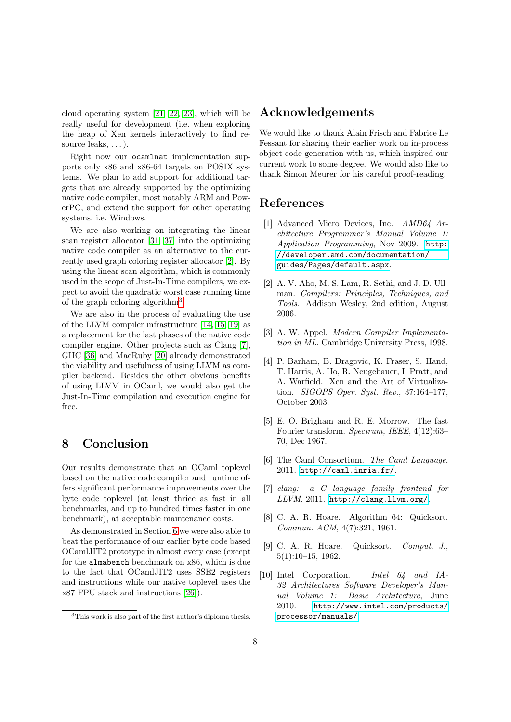cloud operating system [\[21,](#page-8-10) [22,](#page-8-11) [23\]](#page-8-12), which will be really useful for development (i.e. when exploring the heap of Xen kernels interactively to find resource leaks, . . . ).

Right now our ocamlnat implementation supports only x86 and x86-64 targets on POSIX systems. We plan to add support for additional targets that are already supported by the optimizing native code compiler, most notably ARM and PowerPC, and extend the support for other operating systems, i.e. Windows.

We are also working on integrating the linear scan register allocator [\[31,](#page-8-17) [37\]](#page-9-4) into the optimizing native code compiler as an alternative to the currently used graph coloring register allocator [\[2\]](#page-7-9). By using the linear scan algorithm, which is commonly used in the scope of Just-In-Time compilers, we expect to avoid the quadratic worst case running time of the graph coloring algorithm<sup>[3](#page-7-10)</sup>.

We are also in the process of evaluating the use of the LLVM compiler infrastructure [\[14,](#page-8-18) [15,](#page-8-19) [19\]](#page-8-20) as a replacement for the last phases of the native code compiler engine. Other projects such as Clang [\[7\]](#page-7-11), GHC [\[36\]](#page-9-5) and MacRuby [\[20\]](#page-8-21) already demonstrated the viability and usefulness of using LLVM as compiler backend. Besides the other obvious benefits of using LLVM in OCaml, we would also get the Just-In-Time compilation and execution engine for free.

#### <span id="page-7-3"></span>8 Conclusion

Our results demonstrate that an OCaml toplevel based on the native code compiler and runtime offers significant performance improvements over the byte code toplevel (at least thrice as fast in all benchmarks, and up to hundred times faster in one benchmark), at acceptable maintenance costs.

As demonstrated in Section [6](#page-5-0) we were also able to beat the performance of our earlier byte code based OCamlJIT2 prototype in almost every case (except for the almabench benchmark on x86, which is due to the fact that OCamlJIT2 uses SSE2 registers and instructions while our native toplevel uses the x87 FPU stack and instructions [\[26\]](#page-8-6)).

#### Acknowledgements

We would like to thank Alain Frisch and Fabrice Le Fessant for sharing their earlier work on in-process object code generation with us, which inspired our current work to some degree. We would also like to thank Simon Meurer for his careful proof-reading.

### References

- <span id="page-7-1"></span>[1] Advanced Micro Devices, Inc. AMD64 Architecture Programmer's Manual Volume 1: Application Programming, Nov 2009. [http:](http://developer.amd.com/documentation/guides/Pages/default.aspx) [//developer.amd.com/documentation/](http://developer.amd.com/documentation/guides/Pages/default.aspx) [guides/Pages/default.aspx](http://developer.amd.com/documentation/guides/Pages/default.aspx).
- <span id="page-7-9"></span>[2] A. V. Aho, M. S. Lam, R. Sethi, and J. D. Ullman. Compilers: Principles, Techniques, and Tools. Addison Wesley, 2nd edition, August 2006.
- <span id="page-7-5"></span>[3] A. W. Appel. Modern Compiler Implementation in ML. Cambridge University Press, 1998.
- <span id="page-7-4"></span>[4] P. Barham, B. Dragovic, K. Fraser, S. Hand, T. Harris, A. Ho, R. Neugebauer, I. Pratt, and A. Warfield. Xen and the Art of Virtualization. SIGOPS Oper. Syst. Rev., 37:164–177, October 2003.
- <span id="page-7-6"></span>[5] E. O. Brigham and R. E. Morrow. The fast Fourier transform. Spectrum, IEEE, 4(12):63– 70, Dec 1967.
- <span id="page-7-0"></span>[6] The Caml Consortium. The Caml Language, 2011. <http://caml.inria.fr/>.
- <span id="page-7-11"></span>[7] clang: a C language family frontend for LLVM, 2011. <http://clang.llvm.org/>.
- <span id="page-7-7"></span>[8] C. A. R. Hoare. Algorithm 64: Quicksort. Commun. ACM, 4(7):321, 1961.
- <span id="page-7-8"></span>[9] C. A. R. Hoare. Quicksort. Comput. J., 5(1):10–15, 1962.
- <span id="page-7-2"></span>[10] Intel Corporation. Intel 64 and IA-32 Architectures Software Developer's Manual Volume 1: Basic Architecture, June 2010. [http://www.intel.com/products/](http://www.intel.com/products/processor/manuals/) [processor/manuals/](http://www.intel.com/products/processor/manuals/).

<span id="page-7-10"></span><sup>3</sup>This work is also part of the first author's diploma thesis.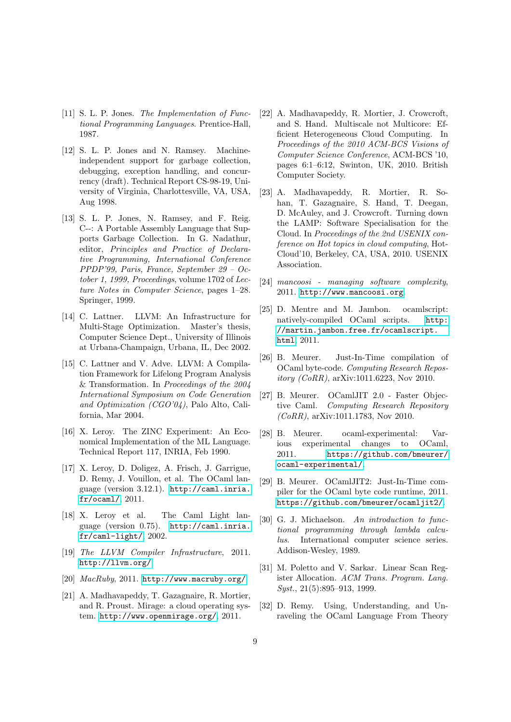- <span id="page-8-13"></span>[11] S. L. P. Jones. The Implementation of Functional Programming Languages. Prentice-Hall, 1987.
- <span id="page-8-15"></span>[12] S. L. P. Jones and N. Ramsey. Machineindependent support for garbage collection, debugging, exception handling, and concurrency (draft). Technical Report CS-98-19, University of Virginia, Charlottesville, VA, USA, Aug 1998.
- <span id="page-8-16"></span>[13] S. L. P. Jones, N. Ramsey, and F. Reig. C--: A Portable Assembly Language that Supports Garbage Collection. In G. Nadathur, editor, Principles and Practice of Declarative Programming, International Conference PPDP'99, Paris, France, September 29 – October 1, 1999, Proceedings, volume 1702 of Lecture Notes in Computer Science, pages 1–28. Springer, 1999.
- <span id="page-8-18"></span>[14] C. Lattner. LLVM: An Infrastructure for Multi-Stage Optimization. Master's thesis, Computer Science Dept., University of Illinois at Urbana-Champaign, Urbana, IL, Dec 2002.
- <span id="page-8-19"></span>[15] C. Lattner and V. Adve. LLVM: A Compilation Framework for Lifelong Program Analysis & Transformation. In Proceedings of the 2004 International Symposium on Code Generation and Optimization (CGO'04), Palo Alto, California, Mar 2004.
- <span id="page-8-2"></span>[16] X. Leroy. The ZINC Experiment: An Economical Implementation of the ML Language. Technical Report 117, INRIA, Feb 1990.
- <span id="page-8-0"></span>[17] X. Leroy, D. Doligez, A. Frisch, J. Garrigue, D. Remy, J. Vouillon, et al. The OCaml language (version 3.12.1). [http://caml.inria.](http://caml.inria.fr/ocaml/) [fr/ocaml/](http://caml.inria.fr/ocaml/), 2011.
- <span id="page-8-3"></span>[18] X. Leroy et al. The Caml Light language (version 0.75). [http://caml.inria.](http://caml.inria.fr/caml-light/) [fr/caml-light/](http://caml.inria.fr/caml-light/), 2002.
- <span id="page-8-20"></span>[19] The LLVM Compiler Infrastructure, 2011. <http://llvm.org/>.
- <span id="page-8-21"></span>[20]  $MacRuby, 2011. http://www.maxruby.org/$ .
- <span id="page-8-10"></span>[21] A. Madhavapeddy, T. Gazagnaire, R. Mortier, and R. Proust. Mirage: a cloud operating system. <http://www.openmirage.org/>, 2011.
- <span id="page-8-11"></span>[22] A. Madhavapeddy, R. Mortier, J. Crowcroft, and S. Hand. Multiscale not Multicore: Efficient Heterogeneous Cloud Computing. In Proceedings of the 2010 ACM-BCS Visions of Computer Science Conference, ACM-BCS '10, pages 6:1–6:12, Swinton, UK, 2010. British Computer Society.
- <span id="page-8-12"></span>[23] A. Madhavapeddy, R. Mortier, R. Sohan, T. Gazagnaire, S. Hand, T. Deegan, D. McAuley, and J. Crowcroft. Turning down the LAMP: Software Specialisation for the Cloud. In Proceedings of the 2nd USENIX conference on Hot topics in cloud computing, Hot-Cloud'10, Berkeley, CA, USA, 2010. USENIX Association.
- <span id="page-8-8"></span>[24] mancoosi - managing software complexity, 2011. <http://www.mancoosi.org>.
- <span id="page-8-9"></span>[25] D. Mentre and M. Jambon. ocamlscript: natively-compiled OCaml scripts. [http:](http://martin.jambon.free.fr/ocamlscript.html) [//martin.jambon.free.fr/ocamlscript.](http://martin.jambon.free.fr/ocamlscript.html) [html](http://martin.jambon.free.fr/ocamlscript.html), 2011.
- <span id="page-8-6"></span>[26] B. Meurer. Just-In-Time compilation of OCaml byte-code. Computing Research Repository (CoRR), arXiv:1011.6223, Nov 2010.
- <span id="page-8-5"></span>[27] B. Meurer. OCamlJIT 2.0 - Faster Objective Caml. Computing Research Repository (CoRR), arXiv:1011.1783, Nov 2010.
- <span id="page-8-4"></span>[28] B. Meurer. ocaml-experimental: Various experimental changes to OCaml, 2011. [https://github.com/bmeurer/](https://github.com/bmeurer/ocaml-experimental/) [ocaml-experimental/](https://github.com/bmeurer/ocaml-experimental/).
- <span id="page-8-7"></span>[29] B. Meurer. OCamlJIT2: Just-In-Time compiler for the OCaml byte code runtime, 2011. <https://github.com/bmeurer/ocamljit2/>.
- <span id="page-8-14"></span>[30] G. J. Michaelson. An introduction to functional programming through lambda calculus. International computer science series. Addison-Wesley, 1989.
- <span id="page-8-17"></span>[31] M. Poletto and V. Sarkar. Linear Scan Register Allocation. ACM Trans. Program. Lang. Syst., 21(5):895-913, 1999.
- <span id="page-8-1"></span>[32] D. Remy. Using, Understanding, and Unraveling the OCaml Language From Theory